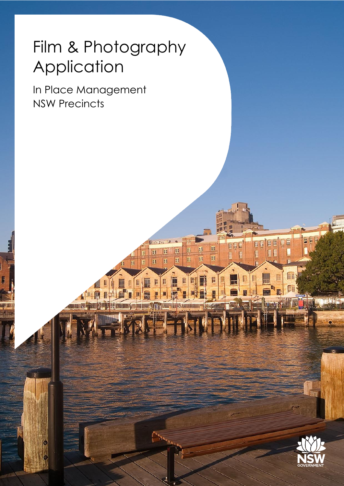## Film & Photography Application

In Place Management NSW Precincts



EE

EF

E

E

E

E

E  $\overline{\mathfrak{P}}$ 

 $\overline{\mathbf{H}}$ 

E

Ė

H **FE** 

H

E

E

**lge** 

H E

E

E

IÊE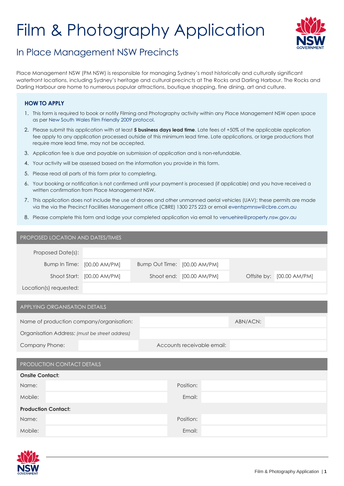# Film & Photography Application



### In Place Management NSW Precincts

Place Management NSW (PM NSW) is responsible for managing Sydney's most historically and culturally significant waterfront locations, including Sydney's heritage and cultural precincts at The Rocks and Darling Harbour. The Rocks and Darling Harbour are home to numerous popular attractions, boutique shopping, fine dining, art and culture.

#### **HOW TO APPLY**

- 1. This form is required to book or notify Filming and Photography activity within any Place Management NSW open space as per New S[outh Wales Film Friendly 2009 protocol.](http://www.screen.nsw.gov.au/page/film-friendly-nsw)
- 2. Please submit this application with at least **5 business days lead time**. Late fees of +50% of the applicable application fee apply to any application processed outside of this minimum lead time. Late applications, or large productions that require more lead time, may not be accepted.
- 3. Application fee is due and payable on submission of application and is non-refundable.
- 4. Your activity will be assessed based on the information you provide in this form.
- 5. Please read all parts of this form prior to completing.
- 6. Your booking or notification is not confirmed until your payment is processed (if applicable) and you have received a written confirmation from Place Management NSW.
- 7. This application does not include the use of drones and other unmanned aerial vehicles (UAV); these permits are made via the via the Precinct Facilities Management office (CBRE) 1300 275 223 or email eventspmnsw[@cbre.com.au](mailto:events@cbre.com.au)
- 8. Please complete this form and lodge your completed application via email to ven[uehire@property.nsw.gov.au](mailto:venuehire@property.nsw.gov.au)

| PROPOSED LOCATION AND DATES/TIMES |                             |                              |                          |                           |
|-----------------------------------|-----------------------------|------------------------------|--------------------------|---------------------------|
| Proposed Date(s):                 |                             |                              |                          |                           |
|                                   | Bump In Time: [00.00 AM/PM] | Bump Out Time: [00.00 AM/PM] |                          |                           |
|                                   | Shoot Start: [00.00 AM/PM]  |                              | Shoot end: [00.00 AM/PM] | Offsite by: [00.00 AM/PM] |
| Location(s) requested:            |                             |                              |                          |                           |

#### APPLYING ORGANISATION DETAILS

| Name of production company/organisation:       |                            | ABN/ACN: |
|------------------------------------------------|----------------------------|----------|
| Organisation Address: (must be street address) |                            |          |
| Company Phone:                                 | Accounts receivable email: |          |

|                            | PRODUCTION CONTACT DETAILS |  |  |  |
|----------------------------|----------------------------|--|--|--|
| <b>Onsite Contact:</b>     |                            |  |  |  |
| Name:                      | Position:                  |  |  |  |
| Mobile:                    | Email:                     |  |  |  |
| <b>Production Contact:</b> |                            |  |  |  |
| Name:                      | Position:                  |  |  |  |
| Mobile:                    | Email:                     |  |  |  |

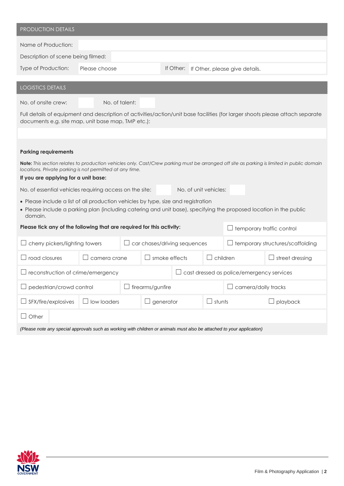| <b>PRODUCTION DETAILS</b>                                                                                                                                                                                          |                |                              |                         |               |                     |                                                  |                        |
|--------------------------------------------------------------------------------------------------------------------------------------------------------------------------------------------------------------------|----------------|------------------------------|-------------------------|---------------|---------------------|--------------------------------------------------|------------------------|
| Name of Production:                                                                                                                                                                                                |                |                              |                         |               |                     |                                                  |                        |
| Description of scene being filmed:                                                                                                                                                                                 |                |                              |                         |               |                     |                                                  |                        |
| Type of Production:                                                                                                                                                                                                | Please choose  |                              |                         |               |                     | If Other: If Other, please give details.         |                        |
| <b>LOGISTICS DETAILS</b>                                                                                                                                                                                           |                |                              |                         |               |                     |                                                  |                        |
| No. of onsite crew:                                                                                                                                                                                                | No. of talent: |                              |                         |               |                     |                                                  |                        |
| Full details of equipment and description of activities/action/unit base facilities (for larger shoots please attach separate<br>documents e.g. site map, unit base map, TMP etc.):                                |                |                              |                         |               |                     |                                                  |                        |
| <b>Parking requirements</b>                                                                                                                                                                                        |                |                              |                         |               |                     |                                                  |                        |
| Note: This section relates to production vehicles only. Cast/Crew parking must be arranged off site as parking is limited in public domain<br>locations. Private parking is not permitted at any time.             |                |                              |                         |               |                     |                                                  |                        |
| If you are applying for a unit base:                                                                                                                                                                               |                |                              |                         |               |                     |                                                  |                        |
| No. of unit vehicles:<br>No. of essential vehicles requiring access on the site:                                                                                                                                   |                |                              |                         |               |                     |                                                  |                        |
| • Please include a list of all production vehicles by type, size and registration<br>. Please include a parking plan (including catering and unit base), specifying the proposed location in the public<br>domain. |                |                              |                         |               |                     |                                                  |                        |
| Please tick any of the following that are required for this activity:<br>temporary traffic control                                                                                                                 |                |                              |                         |               |                     |                                                  |                        |
| cherry pickers/lighting towers                                                                                                                                                                                     |                | car chases/driving sequences |                         |               |                     | temporary structures/scaffolding                 |                        |
| road closures<br>$\Box$                                                                                                                                                                                            | camera crane   |                              | smoke effects<br>$\Box$ |               |                     | children                                         | $\Box$ street dressing |
| $\Box$ reconstruction of crime/emergency                                                                                                                                                                           |                |                              |                         |               |                     | $\Box$ cast dressed as police/emergency services |                        |
| pedestrian/crowd control                                                                                                                                                                                           |                | firearms/gunfire             |                         |               | camera/dolly tracks |                                                  |                        |
| SFX/fire/explosives                                                                                                                                                                                                | low loaders    |                              | generator               | $\Box$ stunts |                     |                                                  | playback               |
| Other<br>$\Box$                                                                                                                                                                                                    |                |                              |                         |               |                     |                                                  |                        |
| (Please note any special approvals such as working with children or animals must also be attached to your application)                                                                                             |                |                              |                         |               |                     |                                                  |                        |

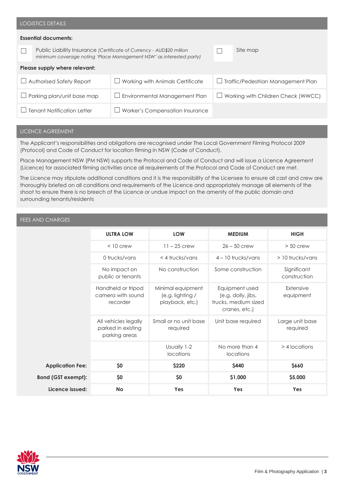|                                                                                                                                              | <b>LOGISTICS DETAILS</b>    |                                        |  |                                              |  |  |
|----------------------------------------------------------------------------------------------------------------------------------------------|-----------------------------|----------------------------------------|--|----------------------------------------------|--|--|
|                                                                                                                                              | <b>Essential documents:</b> |                                        |  |                                              |  |  |
| Public Liability Insurance (Certificate of Currency - AUD\$20 million<br>minimum coverage noting 'Place Management NSW' as interested party) |                             |                                        |  | Site map                                     |  |  |
| Please supply where relevant:                                                                                                                |                             |                                        |  |                                              |  |  |
| Authorised Safety Report<br>$\overline{\phantom{a}}$                                                                                         |                             | Working with Animals Certificate       |  | $\Box$ Traffic/Pedestrian Management Plan    |  |  |
| Parking plan/unit base map                                                                                                                   |                             | $\Box$ Environmental Management Plan   |  | Working with Children Check (WWCC)<br>$\Box$ |  |  |
| <b>Tenant Notification Letter</b>                                                                                                            |                             | <b>Worker's Compensation Insurance</b> |  |                                              |  |  |

#### LICENCE AGREEMENT

The Applicant's responsibilities and obligations are recognised under The Local Government Filming Protocol 2009 (Protocol) and Code of Conduct for location filming in NSW (Code of Conduct).

Place Management NSW (PM NSW) supports the Protocol and Code of Conduct and will issue a Licence Agreement (Licence) for associated filming activities once all requirements of the Protocol and Code of Conduct are met.

The Licence may stipulate additional conditions and it is the responsibility of the Licensee to ensure all cast and crew are thoroughly briefed on all conditions and requirements of the Licence and appropriately manage all elements of the shoot to ensure there is no breech of the Licence or undue impact on the amenity of the public domain and surrounding tenants/residents

#### FEES AND CHARGES

|                           | <b>ULTRA LOW</b>                                            | <b>LOW</b>                                               | <b>MEDIUM</b>                                                                 | <b>HIGH</b>                 |
|---------------------------|-------------------------------------------------------------|----------------------------------------------------------|-------------------------------------------------------------------------------|-----------------------------|
|                           | $< 10$ crew                                                 | $11 - 25$ crew                                           | $26 - 50$ crew                                                                | $> 50$ crew                 |
|                           | 0 trucks/vans                                               | $<$ 4 trucks/vans                                        | $4 - 10$ trucks/vans                                                          | $>$ 10 trucks/vans          |
|                           | No impact on<br>public or tenants                           | No construction                                          | Some construction                                                             | Significant<br>construction |
|                           | Handheld or tripod<br>camera with sound<br>recorder         | Minimal equipment<br>(e.g. lighting /<br>playback, etc.) | Equipment used<br>(e.g. dolly, jibs,<br>trucks, medium sized<br>cranes, etc.) | Extensive<br>equipment      |
|                           | All vehicles legally<br>parked in existing<br>parking areas | Small or no unit base<br>required                        | Unit base required                                                            | Large unit base<br>required |
|                           |                                                             | Usually 1-2<br>locations                                 | No more than 4<br>locations                                                   | > 4 locations               |
| <b>Application Fee:</b>   | \$0                                                         | \$220                                                    | \$440                                                                         | \$660                       |
| <b>Bond (GST exempt):</b> | \$0                                                         | \$0                                                      | \$1,000                                                                       | \$5,000                     |
| Licence issued:           | <b>No</b>                                                   | Yes                                                      | Yes                                                                           | Yes                         |

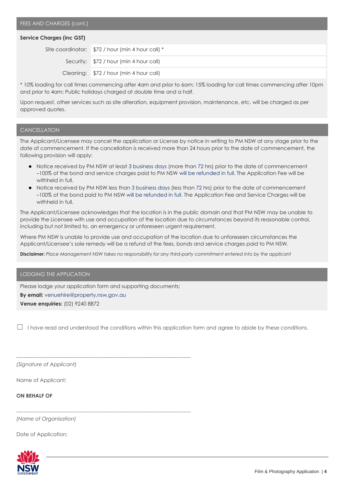#### **Service Charges (inc GST)**

| Site coordinator: \$72 / hour (min 4 hour call) * |
|---------------------------------------------------|
| Security: \$72 / hour (min 4 hour call)           |
| Cleaning: \$72 / hour (min 4 hour call)           |

\* 10% loading for call times commencing after 4am and prior to 6am; 15% loading for call times commencing after 10pm and prior to 4am; Public holidays charged at double time and a half.

Upon request, other services such as site alteration, equipment provision, maintenance, etc. will be charged as per approved quotes.

#### **CANCELLATION**

The Applicant/Licensee may cancel the application or License by notice in writing to PM NSW at any stage prior to the date of commencement. If the cancellation is received more than 24 hours prior to the date of commencement, the following provision will apply:

- Notice received by PM NSW at least 3 business days (more than 72 hrs) prior to the date of commencement –100% of the bond and service charges paid to PM NSW will be refunded in full. The Application Fee will be withheld in full.
- Notice received by PM NSW less than 3 business days (less than 72 hrs) prior to the date of commencement –100% of the bond paid to PM NSW will be refunded in full. The Application Fee and Service Charges will be withheld in full.

The Applicant/Licensee acknowledges that the location is in the public domain and that PM NSW may be unable to provide the Licensee with use and occupation of the location due to circumstances beyond its reasonable control, including but not limited to, an emergency or unforeseen urgent requirement.

Where PM NSW is unable to provide use and occupation of the location due to unforeseen circumstances the Applicant/Licensee's sole remedy will be a refund of the fees, bonds and service charges paid to PM NSW.

**Disclaimer:** *Place Management NSW takes no responsibility for any third-party commitment entered into by the applicant*

#### LODGING THE APPLICATION

Please lodge your application form and supporting documents; **By email:** [venuehire@property.nsw.gov.au](mailto:venuehire@property.nsw.gov.au) **Venue enquiries:** (02) 9240 8872

 $\Box$  I have read and understood the conditions within this application form and agree to abide by these conditions.

*(Signature of Applicant)*

Name of Applicant:

**ON BEHALF OF**

*(Name of Organisation)*

Date of Application: